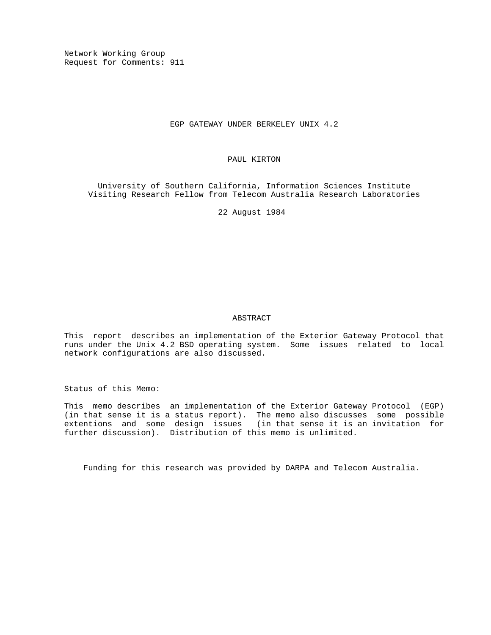Network Working Group Request for Comments: 911

# EGP GATEWAY UNDER BERKELEY UNIX 4.2

# PAUL KIRTON

 University of Southern California, Information Sciences Institute Visiting Research Fellow from Telecom Australia Research Laboratories

22 August 1984

# ABSTRACT

This report describes an implementation of the Exterior Gateway Protocol that runs under the Unix 4.2 BSD operating system. Some issues related to local network configurations are also discussed.

Status of this Memo:

This memo describes an implementation of the Exterior Gateway Protocol (EGP) (in that sense it is a status report). The memo also discusses some possible extentions and some design issues (in that sense it is an invitation for further discussion). Distribution of this memo is unlimited.

Funding for this research was provided by DARPA and Telecom Australia.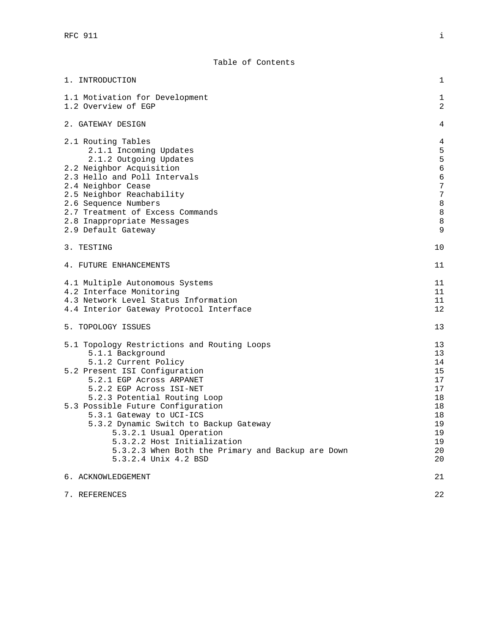| 1. INTRODUCTION                                                   | 1                     |
|-------------------------------------------------------------------|-----------------------|
| 1.1 Motivation for Development                                    | 1                     |
| 1.2 Overview of EGP                                               | 2                     |
| 2. GATEWAY DESIGN                                                 | 4                     |
| 2.1 Routing Tables                                                | $\overline{4}$        |
| 2.1.1 Incoming Updates                                            | 5                     |
| 2.1.2 Outgoing Updates                                            | 5                     |
| 2.2 Neighbor Acquisition                                          | $\overline{6}$        |
| 2.3 Hello and Poll Intervals<br>2.4 Neighbor Cease                | $\boldsymbol{6}$<br>7 |
| 2.5 Neighbor Reachability                                         | 7                     |
| 2.6 Sequence Numbers                                              | 8                     |
| 2.7 Treatment of Excess Commands                                  | 8                     |
| 2.8 Inappropriate Messages                                        | 8                     |
| 2.9 Default Gateway                                               | 9                     |
| 3. TESTING                                                        | 10                    |
|                                                                   |                       |
| 4. FUTURE ENHANCEMENTS                                            | 11                    |
| 4.1 Multiple Autonomous Systems                                   | 11                    |
| 4.2 Interface Monitoring                                          | 11                    |
| 4.3 Network Level Status Information                              | 11                    |
| 4.4 Interior Gateway Protocol Interface                           | 12                    |
| 5. TOPOLOGY ISSUES                                                | 13                    |
| 5.1 Topology Restrictions and Routing Loops                       | 13                    |
| 5.1.1 Background                                                  | 13                    |
| 5.1.2 Current Policy                                              | 14                    |
| 5.2 Present ISI Configuration                                     | 15                    |
| 5.2.1 EGP Across ARPANET                                          | 17                    |
| 5.2.2 EGP Across ISI-NET                                          | 17<br>18              |
| 5.2.3 Potential Routing Loop<br>5.3 Possible Future Configuration | 18                    |
| 5.3.1 Gateway to UCI-ICS                                          | 18                    |
| 5.3.2 Dynamic Switch to Backup Gateway                            | 19                    |
| 5.3.2.1 Usual Operation                                           | 19                    |
| 5.3.2.2 Host Initialization                                       | 19                    |
| 5.3.2.3 When Both the Primary and Backup are Down                 | 20                    |
| 5.3.2.4 Unix 4.2 BSD                                              | 20                    |
| 6. ACKNOWLEDGEMENT                                                | 21                    |
| 7. REFERENCES                                                     | 22                    |
|                                                                   |                       |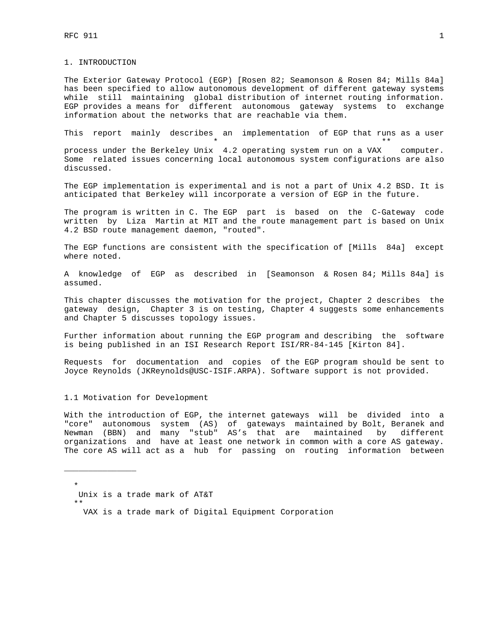1. INTRODUCTION

The Exterior Gateway Protocol (EGP) [Rosen 82; Seamonson & Rosen 84; Mills 84a] has been specified to allow autonomous development of different gateway systems while still maintaining global distribution of internet routing information. EGP provides a means for different autonomous gateway systems to exchange information about the networks that are reachable via them.

This report mainly describes an implementation of EGP that runs as a user \* \*\*

process under the Berkeley Unix 4.2 operating system run on a VAX computer. Some related issues concerning local autonomous system configurations are also discussed.

The EGP implementation is experimental and is not a part of Unix 4.2 BSD. It is anticipated that Berkeley will incorporate a version of EGP in the future.

The program is written in C. The EGP part is based on the C-Gateway code written by Liza Martin at MIT and the route management part is based on Unix 4.2 BSD route management daemon, "routed".

The EGP functions are consistent with the specification of [Mills 84a] except where noted.

A knowledge of EGP as described in [Seamonson & Rosen 84; Mills 84a] is assumed.

This chapter discusses the motivation for the project, Chapter 2 describes the gateway design, Chapter 3 is on testing, Chapter 4 suggests some enhancements and Chapter 5 discusses topology issues.

Further information about running the EGP program and describing the software is being published in an ISI Research Report ISI/RR-84-145 [Kirton 84].

Requests for documentation and copies of the EGP program should be sent to Joyce Reynolds (JKReynolds@USC-ISIF.ARPA). Software support is not provided.

1.1 Motivation for Development

With the introduction of EGP, the internet gateways will be divided into a "core" autonomous system (AS) of gateways maintained by Bolt, Beranek and Newman (BBN) and many "stub" AS's that are maintained by different organizations and have at least one network in common with a core AS gateway. The core AS will act as a hub for passing on routing information between

 \* Unix is a trade mark of AT&T

\*\*

\_\_\_\_\_\_\_\_\_\_\_\_\_\_\_

VAX is a trade mark of Digital Equipment Corporation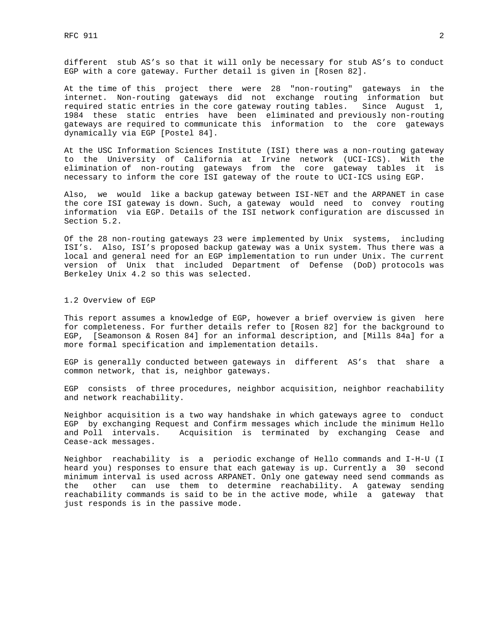different stub AS's so that it will only be necessary for stub AS's to conduct EGP with a core gateway. Further detail is given in [Rosen 82].

At the time of this project there were 28 "non-routing" gateways in the internet. Non-routing gateways did not exchange routing information but required static entries in the core gateway routing tables. Since August 1, 1984 these static entries have been eliminated and previously non-routing gateways are required to communicate this information to the core gateways dynamically via EGP [Postel 84].

At the USC Information Sciences Institute (ISI) there was a non-routing gateway to the University of California at Irvine network (UCI-ICS). With the elimination of non-routing gateways from the core gateway tables it is necessary to inform the core ISI gateway of the route to UCI-ICS using EGP.

Also, we would like a backup gateway between ISI-NET and the ARPANET in case the core ISI gateway is down. Such, a gateway would need to convey routing information via EGP. Details of the ISI network configuration are discussed in Section 5.2.

Of the 28 non-routing gateways 23 were implemented by Unix systems, including ISI's. Also, ISI's proposed backup gateway was a Unix system. Thus there was a local and general need for an EGP implementation to run under Unix. The current version of Unix that included Department of Defense (DoD) protocols was Berkeley Unix 4.2 so this was selected.

#### 1.2 Overview of EGP

This report assumes a knowledge of EGP, however a brief overview is given here for completeness. For further details refer to [Rosen 82] for the background to EGP, [Seamonson & Rosen 84] for an informal description, and [Mills 84a] for a more formal specification and implementation details.

EGP is generally conducted between gateways in different AS's that share a common network, that is, neighbor gateways.

EGP consists of three procedures, neighbor acquisition, neighbor reachability and network reachability.

Neighbor acquisition is a two way handshake in which gateways agree to conduct EGP by exchanging Request and Confirm messages which include the minimum Hello and Poll intervals. Acquisition is terminated by exchanging Cease and Cease-ack messages.

Neighbor reachability is a periodic exchange of Hello commands and I-H-U (I heard you) responses to ensure that each gateway is up. Currently a 30 second minimum interval is used across ARPANET. Only one gateway need send commands as the other can use them to determine reachability. A gateway sending reachability commands is said to be in the active mode, while a gateway that just responds is in the passive mode.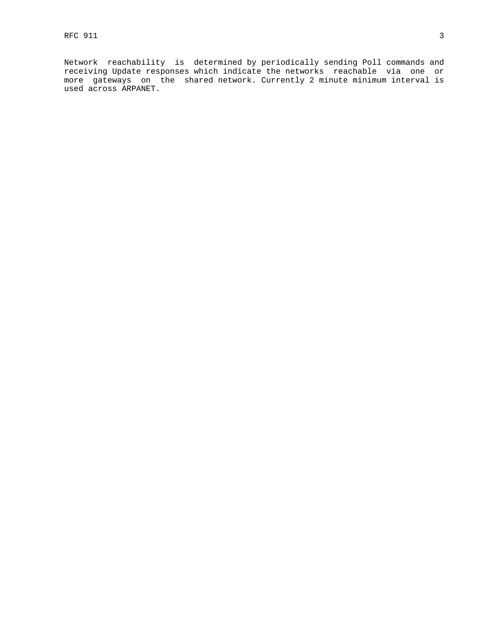Network reachability is determined by periodically sending Poll commands and receiving Update responses which indicate the networks reachable via one or more gateways on the shared network. Currently 2 minute minimum interval is used across ARPANET.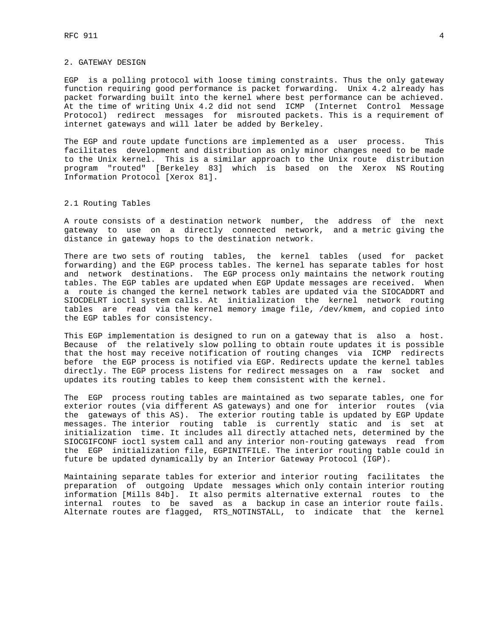## 2. GATEWAY DESIGN

EGP is a polling protocol with loose timing constraints. Thus the only gateway function requiring good performance is packet forwarding. Unix 4.2 already has packet forwarding built into the kernel where best performance can be achieved. At the time of writing Unix 4.2 did not send ICMP (Internet Control Message Protocol) redirect messages for misrouted packets. This is a requirement of internet gateways and will later be added by Berkeley.

The EGP and route update functions are implemented as a user process. This facilitates development and distribution as only minor changes need to be made to the Unix kernel. This is a similar approach to the Unix route distribution program "routed" [Berkeley 83] which is based on the Xerox NS Routing Information Protocol [Xerox 81].

# 2.1 Routing Tables

A route consists of a destination network number, the address of the next gateway to use on a directly connected network, and a metric giving the distance in gateway hops to the destination network.

There are two sets of routing tables, the kernel tables (used for packet forwarding) and the EGP process tables. The kernel has separate tables for host and network destinations. The EGP process only maintains the network routing tables. The EGP tables are updated when EGP Update messages are received. When a route is changed the kernel network tables are updated via the SIOCADDRT and SIOCDELRT ioctl system calls. At initialization the kernel network routing tables are read via the kernel memory image file, /dev/kmem, and copied into the EGP tables for consistency.

This EGP implementation is designed to run on a gateway that is also a host. Because of the relatively slow polling to obtain route updates it is possible that the host may receive notification of routing changes via ICMP redirects before the EGP process is notified via EGP. Redirects update the kernel tables directly. The EGP process listens for redirect messages on a raw socket and updates its routing tables to keep them consistent with the kernel.

The EGP process routing tables are maintained as two separate tables, one for exterior routes (via different AS gateways) and one for interior routes (via the gateways of this AS). The exterior routing table is updated by EGP Update messages. The interior routing table is currently static and is set at initialization time. It includes all directly attached nets, determined by the SIOCGIFCONF ioctl system call and any interior non-routing gateways read from the EGP initialization file, EGPINITFILE. The interior routing table could in future be updated dynamically by an Interior Gateway Protocol (IGP).

Maintaining separate tables for exterior and interior routing facilitates the preparation of outgoing Update messages which only contain interior routing information [Mills 84b]. It also permits alternative external routes to the internal routes to be saved as a backup in case an interior route fails. Alternate routes are flagged, RTS\_NOTINSTALL, to indicate that the kernel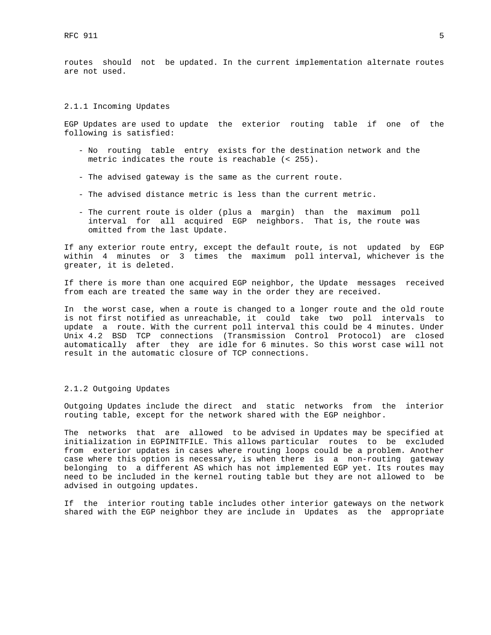routes should not be updated. In the current implementation alternate routes are not used.

## 2.1.1 Incoming Updates

EGP Updates are used to update the exterior routing table if one of the following is satisfied:

- No routing table entry exists for the destination network and the metric indicates the route is reachable (< 255).
- The advised gateway is the same as the current route.
- The advised distance metric is less than the current metric.
- The current route is older (plus a margin) than the maximum poll interval for all acquired EGP neighbors. That is, the route was omitted from the last Update.

If any exterior route entry, except the default route, is not updated by EGP within 4 minutes or 3 times the maximum poll interval, whichever is the greater, it is deleted.

If there is more than one acquired EGP neighbor, the Update messages received from each are treated the same way in the order they are received.

In the worst case, when a route is changed to a longer route and the old route is not first notified as unreachable, it could take two poll intervals to update a route. With the current poll interval this could be 4 minutes. Under Unix 4.2 BSD TCP connections (Transmission Control Protocol) are closed automatically after they are idle for 6 minutes. So this worst case will not result in the automatic closure of TCP connections.

#### 2.1.2 Outgoing Updates

Outgoing Updates include the direct and static networks from the interior routing table, except for the network shared with the EGP neighbor.

The networks that are allowed to be advised in Updates may be specified at initialization in EGPINITFILE. This allows particular routes to be excluded from exterior updates in cases where routing loops could be a problem. Another case where this option is necessary, is when there is a non-routing gateway belonging to a different AS which has not implemented EGP yet. Its routes may need to be included in the kernel routing table but they are not allowed to be advised in outgoing updates.

If the interior routing table includes other interior gateways on the network shared with the EGP neighbor they are include in Updates as the appropriate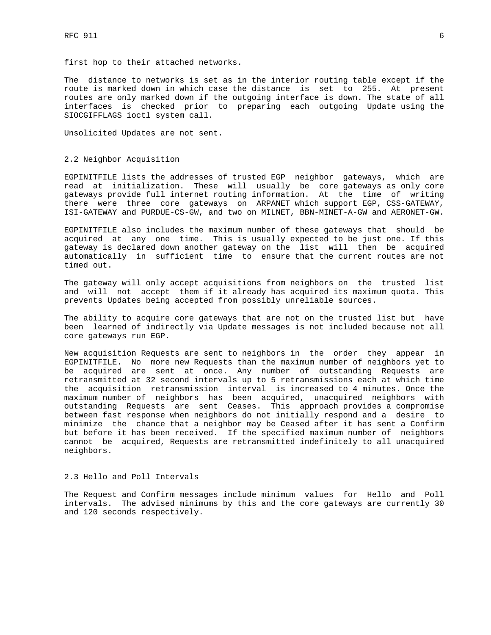first hop to their attached networks.

The distance to networks is set as in the interior routing table except if the route is marked down in which case the distance is set to 255. At present routes are only marked down if the outgoing interface is down. The state of all interfaces is checked prior to preparing each outgoing Update using the SIOCGIFFLAGS ioctl system call.

Unsolicited Updates are not sent.

# 2.2 Neighbor Acquisition

EGPINITFILE lists the addresses of trusted EGP neighbor gateways, which are read at initialization. These will usually be core gateways as only core gateways provide full internet routing information. At the time of writing there were three core gateways on ARPANET which support EGP, CSS-GATEWAY, ISI-GATEWAY and PURDUE-CS-GW, and two on MILNET, BBN-MINET-A-GW and AERONET-GW.

EGPINITFILE also includes the maximum number of these gateways that should be acquired at any one time. This is usually expected to be just one. If this gateway is declared down another gateway on the list will then be acquired automatically in sufficient time to ensure that the current routes are not timed out.

The gateway will only accept acquisitions from neighbors on the trusted list and will not accept them if it already has acquired its maximum quota. This prevents Updates being accepted from possibly unreliable sources.

The ability to acquire core gateways that are not on the trusted list but have been learned of indirectly via Update messages is not included because not all core gateways run EGP.

New acquisition Requests are sent to neighbors in the order they appear in EGPINITFILE. No more new Requests than the maximum number of neighbors yet to be acquired are sent at once. Any number of outstanding Requests are retransmitted at 32 second intervals up to 5 retransmissions each at which time the acquisition retransmission interval is increased to 4 minutes. Once the maximum number of neighbors has been acquired, unacquired neighbors with outstanding Requests are sent Ceases. This approach provides a compromise between fast response when neighbors do not initially respond and a desire to minimize the chance that a neighbor may be Ceased after it has sent a Confirm but before it has been received. If the specified maximum number of neighbors cannot be acquired, Requests are retransmitted indefinitely to all unacquired neighbors.

# 2.3 Hello and Poll Intervals

The Request and Confirm messages include minimum values for Hello and Poll intervals. The advised minimums by this and the core gateways are currently 30 and 120 seconds respectively.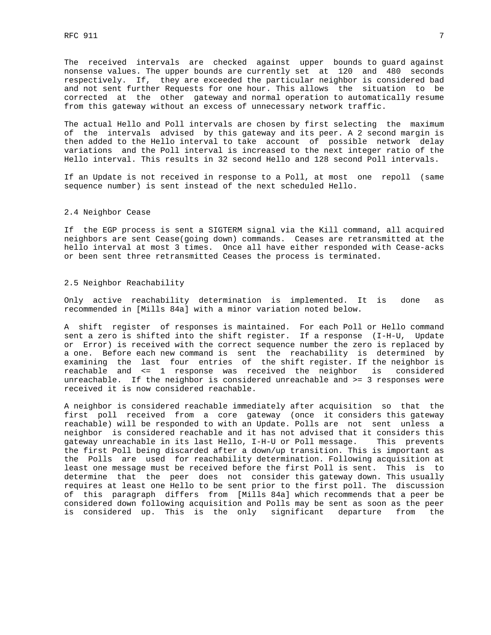The received intervals are checked against upper bounds to guard against nonsense values. The upper bounds are currently set at 120 and 480 seconds respectively. If, they are exceeded the particular neighbor is considered bad and not sent further Requests for one hour. This allows the situation to be corrected at the other gateway and normal operation to automatically resume from this gateway without an excess of unnecessary network traffic.

The actual Hello and Poll intervals are chosen by first selecting the maximum of the intervals advised by this gateway and its peer. A 2 second margin is then added to the Hello interval to take account of possible network delay variations and the Poll interval is increased to the next integer ratio of the Hello interval. This results in 32 second Hello and 128 second Poll intervals.

If an Update is not received in response to a Poll, at most one repoll (same sequence number) is sent instead of the next scheduled Hello.

### 2.4 Neighbor Cease

If the EGP process is sent a SIGTERM signal via the Kill command, all acquired neighbors are sent Cease(going down) commands. Ceases are retransmitted at the hello interval at most 3 times. Once all have either responded with Cease-acks or been sent three retransmitted Ceases the process is terminated.

# 2.5 Neighbor Reachability

Only active reachability determination is implemented. It is done as recommended in [Mills 84a] with a minor variation noted below.

A shift register of responses is maintained. For each Poll or Hello command sent a zero is shifted into the shift register. If a response (I-H-U, Update or Error) is received with the correct sequence number the zero is replaced by a one. Before each new command is sent the reachability is determined by examining the last four entries of the shift register. If the neighbor is reachable and <= 1 response was received the neighbor is considered unreachable. If the neighbor is considered unreachable and >= 3 responses were received it is now considered reachable.

A neighbor is considered reachable immediately after acquisition so that the first poll received from a core gateway (once it considers this gateway reachable) will be responded to with an Update. Polls are not sent unless a neighbor is considered reachable and it has not advised that it considers this gateway unreachable in its last Hello, I-H-U or Poll message. This prevents the first Poll being discarded after a down/up transition. This is important as the Polls are used for reachability determination. Following acquisition at least one message must be received before the first Poll is sent. This is to determine that the peer does not consider this gateway down. This usually requires at least one Hello to be sent prior to the first poll. The discussion of this paragraph differs from [Mills 84a] which recommends that a peer be considered down following acquisition and Polls may be sent as soon as the peer is considered up. This is the only significant departure from the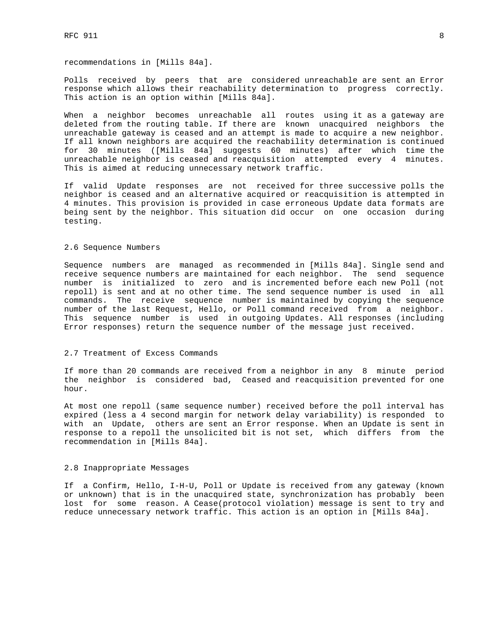recommendations in [Mills 84a].

Polls received by peers that are considered unreachable are sent an Error response which allows their reachability determination to progress correctly. This action is an option within [Mills 84a].

When a neighbor becomes unreachable all routes using it as a gateway are deleted from the routing table. If there are known unacquired neighbors the unreachable gateway is ceased and an attempt is made to acquire a new neighbor. If all known neighbors are acquired the reachability determination is continued for 30 minutes ([Mills 84a] suggests 60 minutes) after which time the unreachable neighbor is ceased and reacquisition attempted every 4 minutes. This is aimed at reducing unnecessary network traffic.

If valid Update responses are not received for three successive polls the neighbor is ceased and an alternative acquired or reacquisition is attempted in 4 minutes. This provision is provided in case erroneous Update data formats are being sent by the neighbor. This situation did occur on one occasion during testing.

## 2.6 Sequence Numbers

Sequence numbers are managed as recommended in [Mills 84a]. Single send and receive sequence numbers are maintained for each neighbor. The send sequence number is initialized to zero and is incremented before each new Poll (not repoll) is sent and at no other time. The send sequence number is used in all commands. The receive sequence number is maintained by copying the sequence number of the last Request, Hello, or Poll command received from a neighbor. This sequence number is used in outgoing Updates. All responses (including Error responses) return the sequence number of the message just received.

#### 2.7 Treatment of Excess Commands

If more than 20 commands are received from a neighbor in any 8 minute period the neighbor is considered bad, Ceased and reacquisition prevented for one hour.

At most one repoll (same sequence number) received before the poll interval has expired (less a 4 second margin for network delay variability) is responded to with an Update, others are sent an Error response. When an Update is sent in response to a repoll the unsolicited bit is not set, which differs from the recommendation in [Mills 84a].

# 2.8 Inappropriate Messages

If a Confirm, Hello, I-H-U, Poll or Update is received from any gateway (known or unknown) that is in the unacquired state, synchronization has probably been lost for some reason. A Cease(protocol violation) message is sent to try and reduce unnecessary network traffic. This action is an option in [Mills 84a].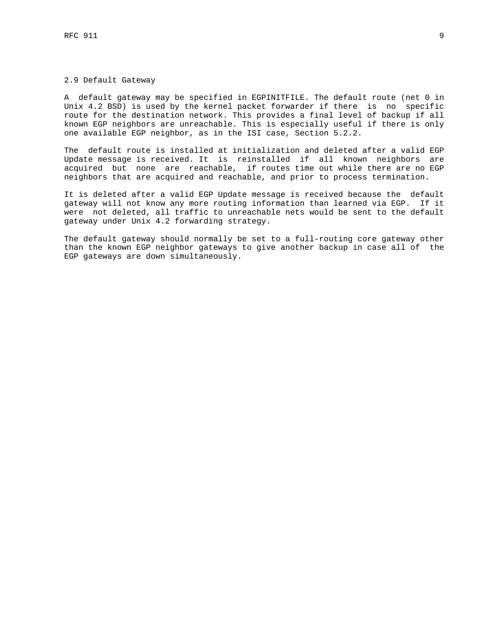# 2.9 Default Gateway

A default gateway may be specified in EGPINITFILE. The default route (net 0 in Unix 4.2 BSD) is used by the kernel packet forwarder if there is no specific route for the destination network. This provides a final level of backup if all known EGP neighbors are unreachable. This is especially useful if there is only one available EGP neighbor, as in the ISI case, Section 5.2.2.

The default route is installed at initialization and deleted after a valid EGP Update message is received. It is reinstalled if all known neighbors are acquired but none are reachable, if routes time out while there are no EGP neighbors that are acquired and reachable, and prior to process termination.

It is deleted after a valid EGP Update message is received because the default gateway will not know any more routing information than learned via EGP. If it were not deleted, all traffic to unreachable nets would be sent to the default gateway under Unix 4.2 forwarding strategy.

The default gateway should normally be set to a full-routing core gateway other than the known EGP neighbor gateways to give another backup in case all of the EGP gateways are down simultaneously.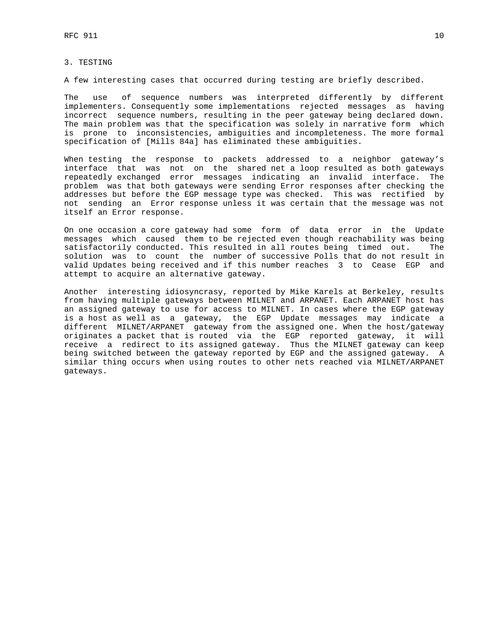# 3. TESTING

A few interesting cases that occurred during testing are briefly described.

The use of sequence numbers was interpreted differently by different implementers. Consequently some implementations rejected messages as having incorrect sequence numbers, resulting in the peer gateway being declared down. The main problem was that the specification was solely in narrative form which is prone to inconsistencies, ambiguities and incompleteness. The more formal specification of [Mills 84a] has eliminated these ambiguities.

When testing the response to packets addressed to a neighbor gateway's interface that was not on the shared net a loop resulted as both gateways repeatedly exchanged error messages indicating an invalid interface. The problem was that both gateways were sending Error responses after checking the addresses but before the EGP message type was checked. This was rectified by not sending an Error response unless it was certain that the message was not itself an Error response.

On one occasion a core gateway had some form of data error in the Update messages which caused them to be rejected even though reachability was being satisfactorily conducted. This resulted in all routes being timed out. The solution was to count the number of successive Polls that do not result in valid Updates being received and if this number reaches 3 to Cease EGP and attempt to acquire an alternative gateway.

Another interesting idiosyncrasy, reported by Mike Karels at Berkeley, results from having multiple gateways between MILNET and ARPANET. Each ARPANET host has an assigned gateway to use for access to MILNET. In cases where the EGP gateway is a host as well as a gateway, the EGP Update messages may indicate a different MILNET/ARPANET gateway from the assigned one. When the host/gateway originates a packet that is routed via the EGP reported gateway, it will receive a redirect to its assigned gateway. Thus the MILNET gateway can keep being switched between the gateway reported by EGP and the assigned gateway. A similar thing occurs when using routes to other nets reached via MILNET/ARPANET gateways.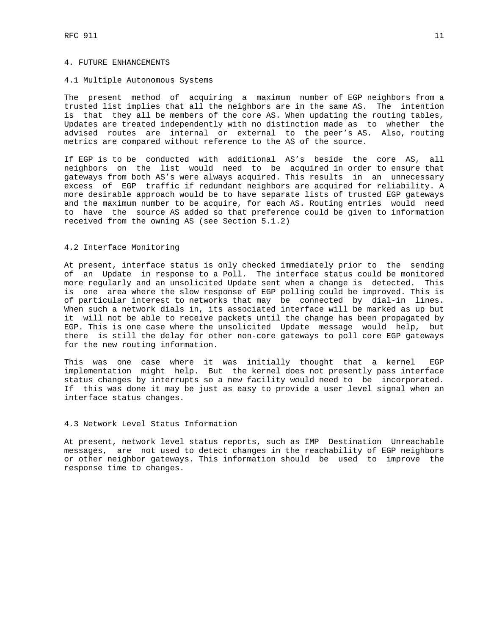# 4. FUTURE ENHANCEMENTS

#### 4.1 Multiple Autonomous Systems

The present method of acquiring a maximum number of EGP neighbors from a trusted list implies that all the neighbors are in the same AS. The intention is that they all be members of the core AS. When updating the routing tables, Updates are treated independently with no distinction made as to whether the advised routes are internal or external to the peer's AS. Also, routing metrics are compared without reference to the AS of the source.

If EGP is to be conducted with additional AS's beside the core AS, all neighbors on the list would need to be acquired in order to ensure that gateways from both AS's were always acquired. This results in an unnecessary excess of EGP traffic if redundant neighbors are acquired for reliability. A more desirable approach would be to have separate lists of trusted EGP gateways and the maximum number to be acquire, for each AS. Routing entries would need to have the source AS added so that preference could be given to information received from the owning AS (see Section 5.1.2)

# 4.2 Interface Monitoring

At present, interface status is only checked immediately prior to the sending of an Update in response to a Poll. The interface status could be monitored more regularly and an unsolicited Update sent when a change is detected. This is one area where the slow response of EGP polling could be improved. This is of particular interest to networks that may be connected by dial-in lines. When such a network dials in, its associated interface will be marked as up but it will not be able to receive packets until the change has been propagated by EGP. This is one case where the unsolicited Update message would help, but there is still the delay for other non-core gateways to poll core EGP gateways for the new routing information.

This was one case where it was initially thought that a kernel EGP implementation might help. But the kernel does not presently pass interface status changes by interrupts so a new facility would need to be incorporated. If this was done it may be just as easy to provide a user level signal when an interface status changes.

# 4.3 Network Level Status Information

At present, network level status reports, such as IMP Destination Unreachable messages, are not used to detect changes in the reachability of EGP neighbors or other neighbor gateways. This information should be used to improve the response time to changes.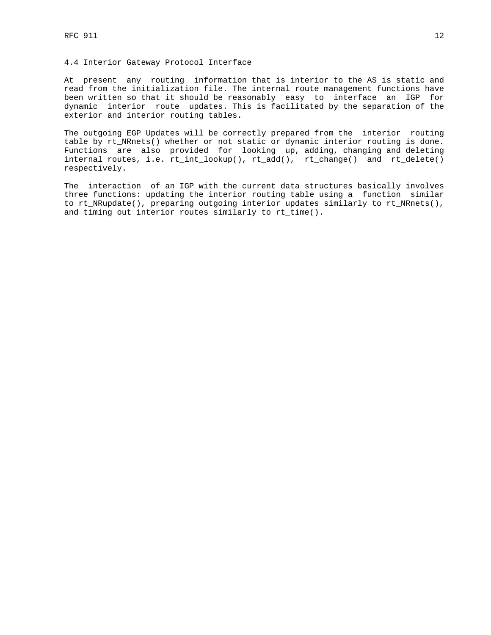# 4.4 Interior Gateway Protocol Interface

At present any routing information that is interior to the AS is static and read from the initialization file. The internal route management functions have been written so that it should be reasonably easy to interface an IGP for dynamic interior route updates. This is facilitated by the separation of the exterior and interior routing tables.

The outgoing EGP Updates will be correctly prepared from the interior routing table by rt\_NRnets() whether or not static or dynamic interior routing is done. Functions are also provided for looking up, adding, changing and deleting internal routes, i.e. rt\_int\_lookup(), rt\_add(), rt\_change() and rt\_delete() respectively.

The interaction of an IGP with the current data structures basically involves three functions: updating the interior routing table using a function similar to rt\_NRupdate(), preparing outgoing interior updates similarly to rt\_NRnets(), and timing out interior routes similarly to rt\_time().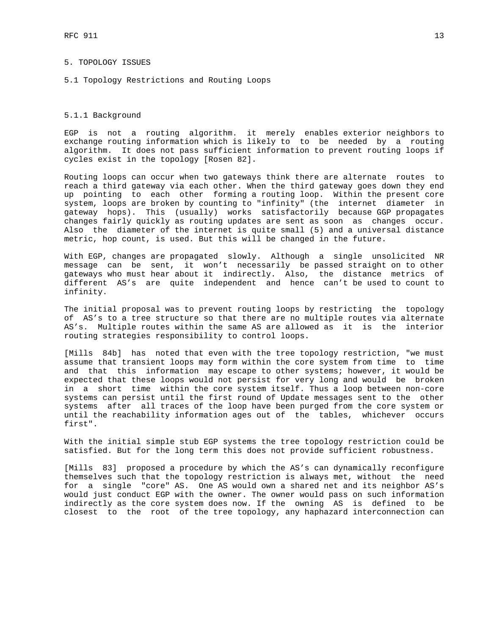# 5. TOPOLOGY ISSUES

5.1 Topology Restrictions and Routing Loops

# 5.1.1 Background

EGP is not a routing algorithm. it merely enables exterior neighbors to exchange routing information which is likely to to be needed by a routing algorithm. It does not pass sufficient information to prevent routing loops if cycles exist in the topology [Rosen 82].

Routing loops can occur when two gateways think there are alternate routes to reach a third gateway via each other. When the third gateway goes down they end up pointing to each other forming a routing loop. Within the present core system, loops are broken by counting to "infinity" (the internet diameter in gateway hops). This (usually) works satisfactorily because GGP propagates changes fairly quickly as routing updates are sent as soon as changes occur. Also the diameter of the internet is quite small (5) and a universal distance metric, hop count, is used. But this will be changed in the future.

With EGP, changes are propagated slowly. Although a single unsolicited NR message can be sent, it won't necessarily be passed straight on to other gateways who must hear about it indirectly. Also, the distance metrics of different AS's are quite independent and hence can't be used to count to infinity.

The initial proposal was to prevent routing loops by restricting the topology of AS's to a tree structure so that there are no multiple routes via alternate AS's. Multiple routes within the same AS are allowed as it is the interior routing strategies responsibility to control loops.

[Mills 84b] has noted that even with the tree topology restriction, "we must assume that transient loops may form within the core system from time to time and that this information may escape to other systems; however, it would be expected that these loops would not persist for very long and would be broken in a short time within the core system itself. Thus a loop between non-core systems can persist until the first round of Update messages sent to the other systems after all traces of the loop have been purged from the core system or until the reachability information ages out of the tables, whichever occurs first".

With the initial simple stub EGP systems the tree topology restriction could be satisfied. But for the long term this does not provide sufficient robustness.

[Mills 83] proposed a procedure by which the AS's can dynamically reconfigure themselves such that the topology restriction is always met, without the need for a single "core" AS. One AS would own a shared net and its neighbor AS's would just conduct EGP with the owner. The owner would pass on such information indirectly as the core system does now. If the owning AS is defined to be closest to the root of the tree topology, any haphazard interconnection can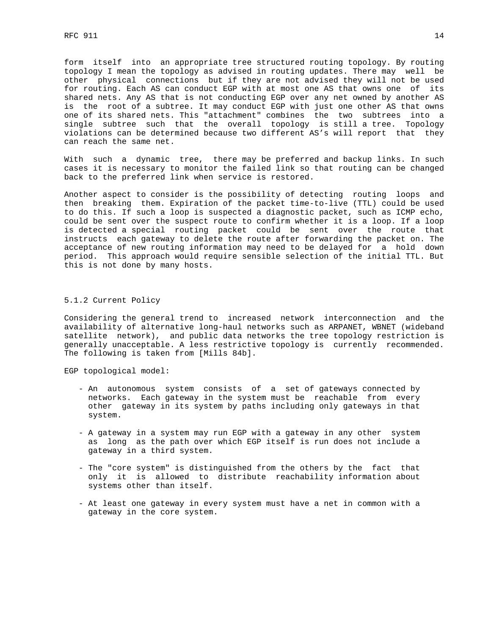form itself into an appropriate tree structured routing topology. By routing topology I mean the topology as advised in routing updates. There may well be other physical connections but if they are not advised they will not be used for routing. Each AS can conduct EGP with at most one AS that owns one of its shared nets. Any AS that is not conducting EGP over any net owned by another AS is the root of a subtree. It may conduct EGP with just one other AS that owns one of its shared nets. This "attachment" combines the two subtrees into a single subtree such that the overall topology is still a tree. Topology violations can be determined because two different AS's will report that they can reach the same net.

With such a dynamic tree, there may be preferred and backup links. In such cases it is necessary to monitor the failed link so that routing can be changed back to the preferred link when service is restored.

Another aspect to consider is the possibility of detecting routing loops and then breaking them. Expiration of the packet time-to-live (TTL) could be used to do this. If such a loop is suspected a diagnostic packet, such as ICMP echo, could be sent over the suspect route to confirm whether it is a loop. If a loop is detected a special routing packet could be sent over the route that instructs each gateway to delete the route after forwarding the packet on. The acceptance of new routing information may need to be delayed for a hold down period. This approach would require sensible selection of the initial TTL. But this is not done by many hosts.

# 5.1.2 Current Policy

Considering the general trend to increased network interconnection and the availability of alternative long-haul networks such as ARPANET, WBNET (wideband satellite network), and public data networks the tree topology restriction is generally unacceptable. A less restrictive topology is currently recommended. The following is taken from [Mills 84b].

EGP topological model:

- An autonomous system consists of a set of gateways connected by networks. Each gateway in the system must be reachable from every other gateway in its system by paths including only gateways in that system.
- A gateway in a system may run EGP with a gateway in any other system as long as the path over which EGP itself is run does not include a gateway in a third system.
- The "core system" is distinguished from the others by the fact that only it is allowed to distribute reachability information about systems other than itself.
- At least one gateway in every system must have a net in common with a gateway in the core system.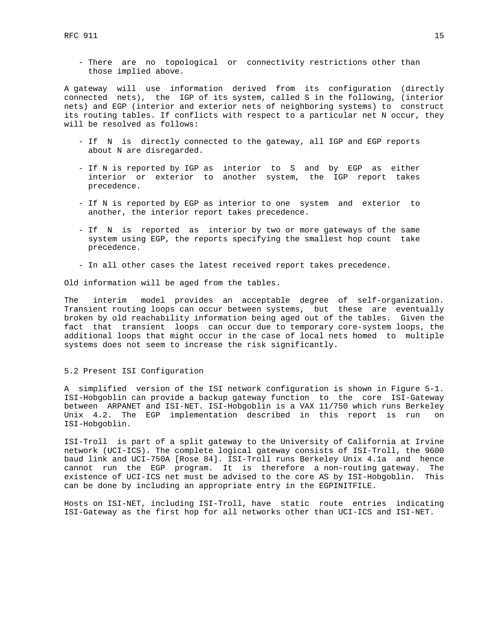- There are no topological or connectivity restrictions other than those implied above.

A gateway will use information derived from its configuration (directly connected nets), the IGP of its system, called S in the following, (interior nets) and EGP (interior and exterior nets of neighboring systems) to construct its routing tables. If conflicts with respect to a particular net N occur, they will be resolved as follows:

- If N is directly connected to the gateway, all IGP and EGP reports about N are disregarded.
- If N is reported by IGP as interior to S and by EGP as either interior or exterior to another system, the IGP report takes precedence.
- If N is reported by EGP as interior to one system and exterior to another, the interior report takes precedence.
- If N is reported as interior by two or more gateways of the same system using EGP, the reports specifying the smallest hop count take precedence.
- In all other cases the latest received report takes precedence.

Old information will be aged from the tables.

The interim model provides an acceptable degree of self-organization. Transient routing loops can occur between systems, but these are eventually broken by old reachability information being aged out of the tables. Given the fact that transient loops can occur due to temporary core-system loops, the additional loops that might occur in the case of local nets homed to multiple systems does not seem to increase the risk significantly.

### 5.2 Present ISI Configuration

A simplified version of the ISI network configuration is shown in Figure 5-1. ISI-Hobgoblin can provide a backup gateway function to the core ISI-Gateway between ARPANET and ISI-NET. ISI-Hobgoblin is a VAX 11/750 which runs Berkeley Unix 4.2. The EGP implementation described in this report is run on ISI-Hobgoblin.

ISI-Troll is part of a split gateway to the University of California at Irvine network (UCI-ICS). The complete logical gateway consists of ISI-Troll, the 9600 baud link and UCI-750A [Rose 84]. ISI-Troll runs Berkeley Unix 4.1a and hence cannot run the EGP program. It is therefore a non-routing gateway. The existence of UCI-ICS net must be advised to the core AS by ISI-Hobgoblin. This can be done by including an appropriate entry in the EGPINITFILE.

Hosts on ISI-NET, including ISI-Troll, have static route entries indicating ISI-Gateway as the first hop for all networks other than UCI-ICS and ISI-NET.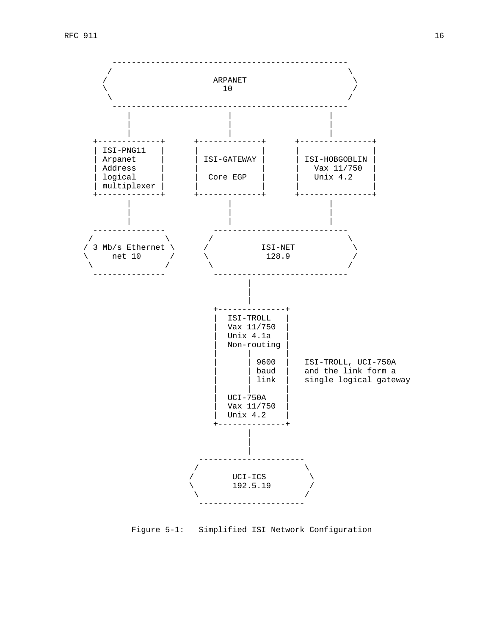

Figure 5-1: Simplified ISI Network Configuration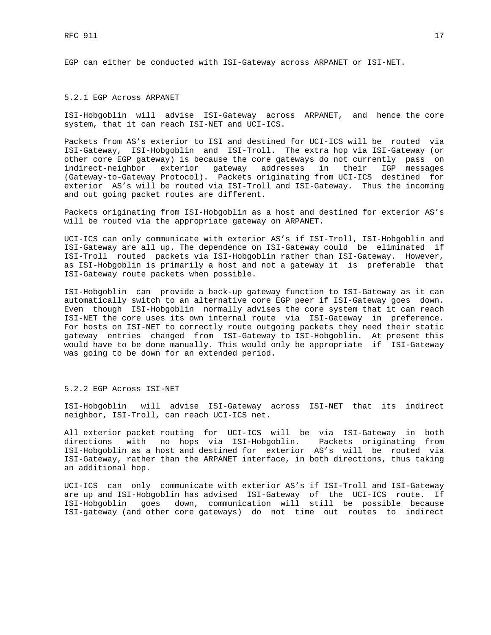EGP can either be conducted with ISI-Gateway across ARPANET or ISI-NET.

# 5.2.1 EGP Across ARPANET

ISI-Hobgoblin will advise ISI-Gateway across ARPANET, and hence the core system, that it can reach ISI-NET and UCI-ICS.

Packets from AS's exterior to ISI and destined for UCI-ICS will be routed via ISI-Gateway, ISI-Hobgoblin and ISI-Troll. The extra hop via ISI-Gateway (or other core EGP gateway) is because the core gateways do not currently pass on indirect-neighbor exterior gateway addresses in their IGP messages (Gateway-to-Gateway Protocol). Packets originating from UCI-ICS destined for exterior AS's will be routed via ISI-Troll and ISI-Gateway. Thus the incoming and out going packet routes are different.

Packets originating from ISI-Hobgoblin as a host and destined for exterior AS's will be routed via the appropriate gateway on ARPANET.

UCI-ICS can only communicate with exterior AS's if ISI-Troll, ISI-Hobgoblin and ISI-Gateway are all up. The dependence on ISI-Gateway could be eliminated if ISI-Troll routed packets via ISI-Hobgoblin rather than ISI-Gateway. However, as ISI-Hobgoblin is primarily a host and not a gateway it is preferable that ISI-Gateway route packets when possible.

ISI-Hobgoblin can provide a back-up gateway function to ISI-Gateway as it can automatically switch to an alternative core EGP peer if ISI-Gateway goes down. Even though ISI-Hobgoblin normally advises the core system that it can reach ISI-NET the core uses its own internal route via ISI-Gateway in preference. For hosts on ISI-NET to correctly route outgoing packets they need their static gateway entries changed from ISI-Gateway to ISI-Hobgoblin. At present this would have to be done manually. This would only be appropriate if ISI-Gateway was going to be down for an extended period.

5.2.2 EGP Across ISI-NET

ISI-Hobgoblin will advise ISI-Gateway across ISI-NET that its indirect neighbor, ISI-Troll, can reach UCI-ICS net.

All exterior packet routing for UCI-ICS will be via ISI-Gateway in both directions with no hops via ISI-Hobgoblin. Packets originating from ISI-Hobgoblin as a host and destined for exterior AS's will be routed via ISI-Gateway, rather than the ARPANET interface, in both directions, thus taking an additional hop.

UCI-ICS can only communicate with exterior AS's if ISI-Troll and ISI-Gateway are up and ISI-Hobgoblin has advised ISI-Gateway of the UCI-ICS route. If ISI-Hobgoblin goes down, communication will still be possible because ISI-gateway (and other core gateways) do not time out routes to indirect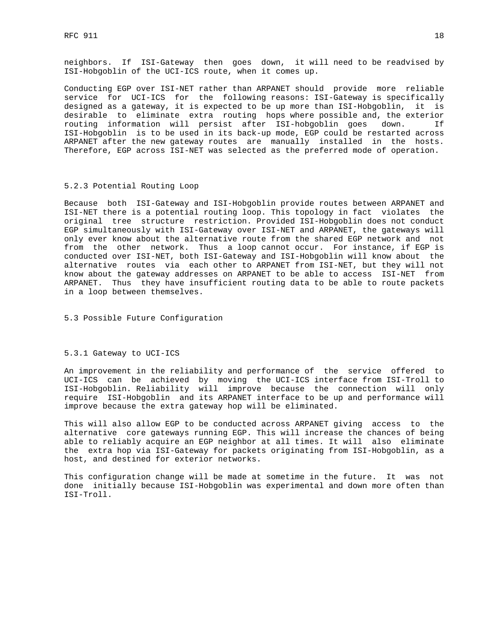neighbors. If ISI-Gateway then goes down, it will need to be readvised by ISI-Hobgoblin of the UCI-ICS route, when it comes up.

Conducting EGP over ISI-NET rather than ARPANET should provide more reliable service for UCI-ICS for the following reasons: ISI-Gateway is specifically designed as a gateway, it is expected to be up more than ISI-Hobgoblin, it is desirable to eliminate extra routing hops where possible and, the exterior routing information will persist after ISI-hobgoblin goes down. If ISI-Hobgoblin is to be used in its back-up mode, EGP could be restarted across ARPANET after the new gateway routes are manually installed in the hosts. Therefore, EGP across ISI-NET was selected as the preferred mode of operation.

#### 5.2.3 Potential Routing Loop

Because both ISI-Gateway and ISI-Hobgoblin provide routes between ARPANET and ISI-NET there is a potential routing loop. This topology in fact violates the original tree structure restriction. Provided ISI-Hobgoblin does not conduct EGP simultaneously with ISI-Gateway over ISI-NET and ARPANET, the gateways will only ever know about the alternative route from the shared EGP network and not from the other network. Thus a loop cannot occur. For instance, if EGP is conducted over ISI-NET, both ISI-Gateway and ISI-Hobgoblin will know about the alternative routes via each other to ARPANET from ISI-NET, but they will not know about the gateway addresses on ARPANET to be able to access ISI-NET from ARPANET. Thus they have insufficient routing data to be able to route packets in a loop between themselves.

5.3 Possible Future Configuration

# 5.3.1 Gateway to UCI-ICS

An improvement in the reliability and performance of the service offered to UCI-ICS can be achieved by moving the UCI-ICS interface from ISI-Troll to ISI-Hobgoblin. Reliability will improve because the connection will only require ISI-Hobgoblin and its ARPANET interface to be up and performance will improve because the extra gateway hop will be eliminated.

This will also allow EGP to be conducted across ARPANET giving access to the alternative core gateways running EGP. This will increase the chances of being able to reliably acquire an EGP neighbor at all times. It will also eliminate the extra hop via ISI-Gateway for packets originating from ISI-Hobgoblin, as a host, and destined for exterior networks.

This configuration change will be made at sometime in the future. It was not done initially because ISI-Hobgoblin was experimental and down more often than ISI-Troll.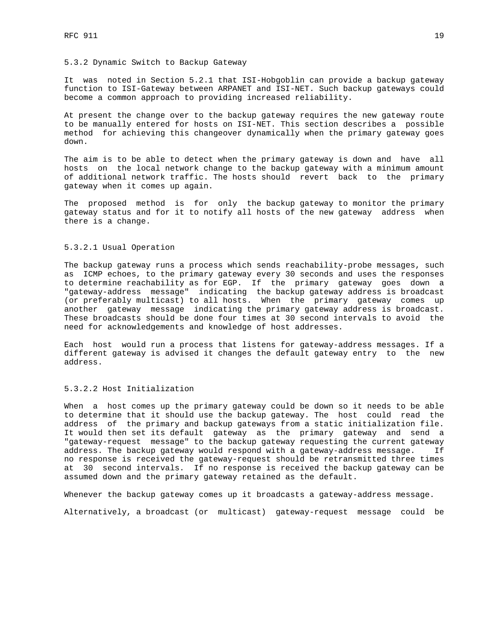#### 5.3.2 Dynamic Switch to Backup Gateway

It was noted in Section 5.2.1 that ISI-Hobgoblin can provide a backup gateway function to ISI-Gateway between ARPANET and ISI-NET. Such backup gateways could become a common approach to providing increased reliability.

At present the change over to the backup gateway requires the new gateway route to be manually entered for hosts on ISI-NET. This section describes a possible method for achieving this changeover dynamically when the primary gateway goes down.

The aim is to be able to detect when the primary gateway is down and have all hosts on the local network change to the backup gateway with a minimum amount of additional network traffic. The hosts should revert back to the primary gateway when it comes up again.

The proposed method is for only the backup gateway to monitor the primary gateway status and for it to notify all hosts of the new gateway address when there is a change.

# 5.3.2.1 Usual Operation

The backup gateway runs a process which sends reachability-probe messages, such as ICMP echoes, to the primary gateway every 30 seconds and uses the responses to determine reachability as for EGP. If the primary gateway goes down a "gateway-address message" indicating the backup gateway address is broadcast (or preferably multicast) to all hosts. When the primary gateway comes up another gateway message indicating the primary gateway address is broadcast. These broadcasts should be done four times at 30 second intervals to avoid the need for acknowledgements and knowledge of host addresses.

Each host would run a process that listens for gateway-address messages. If a different gateway is advised it changes the default gateway entry to the new address.

# 5.3.2.2 Host Initialization

When a host comes up the primary gateway could be down so it needs to be able to determine that it should use the backup gateway. The host could read the address of the primary and backup gateways from a static initialization file. It would then set its default gateway as the primary gateway and send a "gateway-request message" to the backup gateway requesting the current gateway address. The backup gateway would respond with a gateway-address message. If no response is received the gateway-request should be retransmitted three times at 30 second intervals. If no response is received the backup gateway can be assumed down and the primary gateway retained as the default.

Whenever the backup gateway comes up it broadcasts a gateway-address message.

Alternatively, a broadcast (or multicast) gateway-request message could be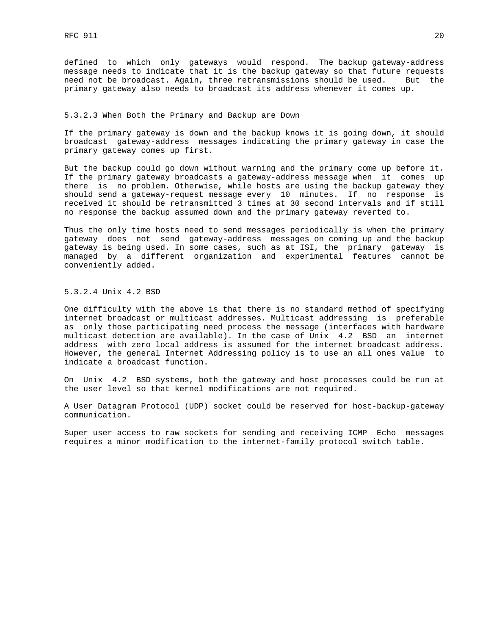defined to which only gateways would respond. The backup gateway-address message needs to indicate that it is the backup gateway so that future requests need not be broadcast. Again, three retransmissions should be used. But the primary gateway also needs to broadcast its address whenever it comes up.

# 5.3.2.3 When Both the Primary and Backup are Down

If the primary gateway is down and the backup knows it is going down, it should broadcast gateway-address messages indicating the primary gateway in case the primary gateway comes up first.

But the backup could go down without warning and the primary come up before it. If the primary gateway broadcasts a gateway-address message when it comes up there is no problem. Otherwise, while hosts are using the backup gateway they should send a gateway-request message every 10 minutes. If no response is received it should be retransmitted 3 times at 30 second intervals and if still no response the backup assumed down and the primary gateway reverted to.

Thus the only time hosts need to send messages periodically is when the primary gateway does not send gateway-address messages on coming up and the backup gateway is being used. In some cases, such as at ISI, the primary gateway is managed by a different organization and experimental features cannot be conveniently added.

5.3.2.4 Unix 4.2 BSD

One difficulty with the above is that there is no standard method of specifying internet broadcast or multicast addresses. Multicast addressing is preferable as only those participating need process the message (interfaces with hardware multicast detection are available). In the case of Unix 4.2 BSD an internet address with zero local address is assumed for the internet broadcast address. However, the general Internet Addressing policy is to use an all ones value to indicate a broadcast function.

On Unix 4.2 BSD systems, both the gateway and host processes could be run at the user level so that kernel modifications are not required.

A User Datagram Protocol (UDP) socket could be reserved for host-backup-gateway communication.

Super user access to raw sockets for sending and receiving ICMP Echo messages requires a minor modification to the internet-family protocol switch table.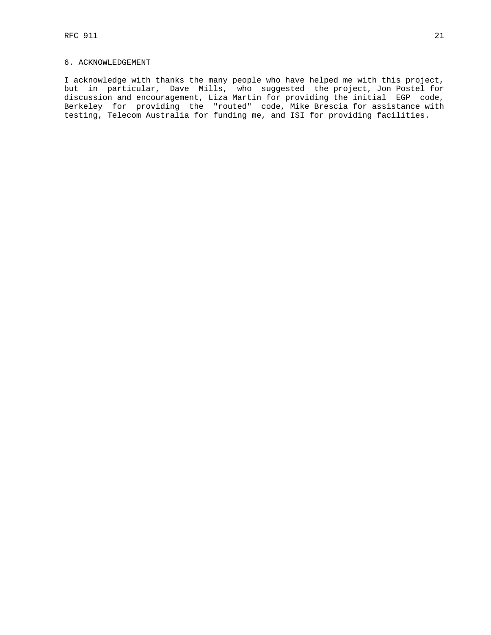# 6. ACKNOWLEDGEMENT

I acknowledge with thanks the many people who have helped me with this project, but in particular, Dave Mills, who suggested the project, Jon Postel for discussion and encouragement, Liza Martin for providing the initial EGP code, Berkeley for providing the "routed" code, Mike Brescia for assistance with testing, Telecom Australia for funding me, and ISI for providing facilities.